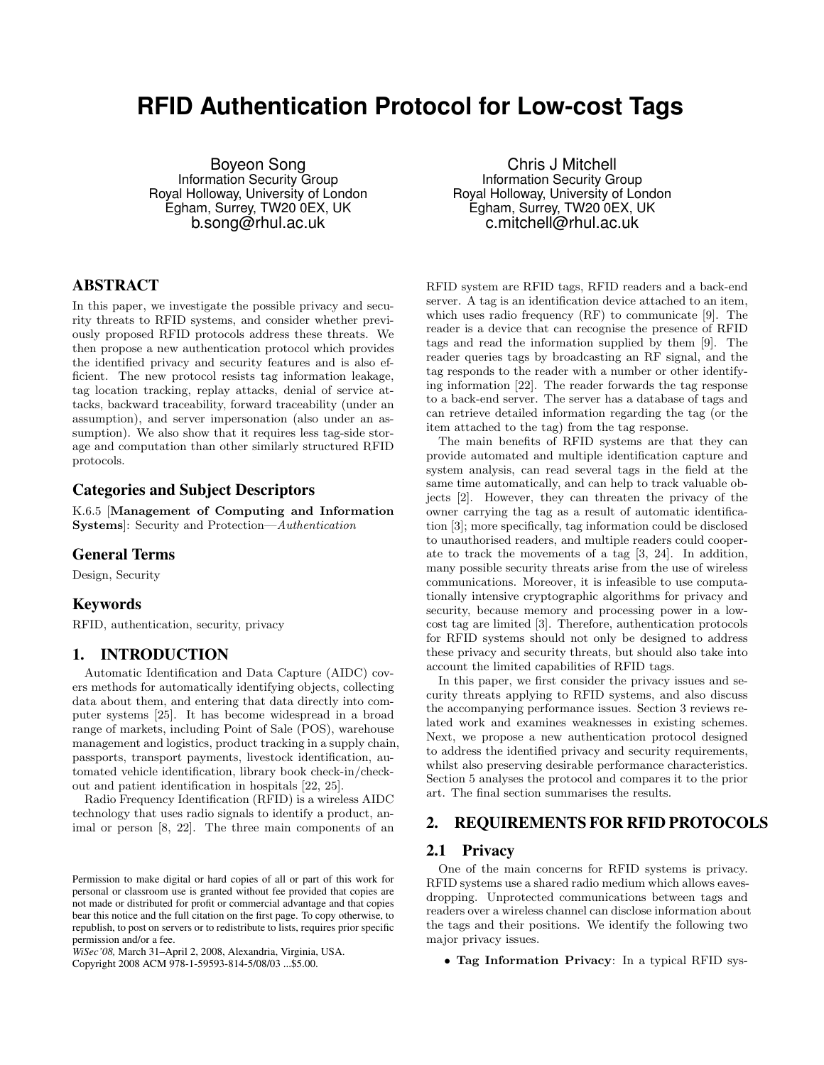# **RFID Authentication Protocol for Low-cost Tags**

Boyeon Song Information Security Group Royal Holloway, University of London Egham, Surrey, TW20 0EX, UK b.song@rhul.ac.uk

# ABSTRACT

In this paper, we investigate the possible privacy and security threats to RFID systems, and consider whether previously proposed RFID protocols address these threats. We then propose a new authentication protocol which provides the identified privacy and security features and is also efficient. The new protocol resists tag information leakage, tag location tracking, replay attacks, denial of service attacks, backward traceability, forward traceability (under an assumption), and server impersonation (also under an assumption). We also show that it requires less tag-side storage and computation than other similarly structured RFID protocols.

## Categories and Subject Descriptors

K.6.5 [Management of Computing and Information Systems]: Security and Protection—Authentication

### General Terms

Design, Security

## Keywords

RFID, authentication, security, privacy

## 1. INTRODUCTION

Automatic Identification and Data Capture (AIDC) covers methods for automatically identifying objects, collecting data about them, and entering that data directly into computer systems [25]. It has become widespread in a broad range of markets, including Point of Sale (POS), warehouse management and logistics, product tracking in a supply chain, passports, transport payments, livestock identification, automated vehicle identification, library book check-in/checkout and patient identification in hospitals [22, 25].

Radio Frequency Identification (RFID) is a wireless AIDC technology that uses radio signals to identify a product, animal or person [8, 22]. The three main components of an

*WiSec'08,* March 31–April 2, 2008, Alexandria, Virginia, USA.

Copyright 2008 ACM 978-1-59593-814-5/08/03 ...\$5.00.

Chris J Mitchell Information Security Group Royal Holloway, University of London Egham, Surrey, TW20 0EX, UK c.mitchell@rhul.ac.uk

RFID system are RFID tags, RFID readers and a back-end server. A tag is an identification device attached to an item, which uses radio frequency (RF) to communicate [9]. The reader is a device that can recognise the presence of RFID tags and read the information supplied by them [9]. The reader queries tags by broadcasting an RF signal, and the tag responds to the reader with a number or other identifying information [22]. The reader forwards the tag response to a back-end server. The server has a database of tags and can retrieve detailed information regarding the tag (or the item attached to the tag) from the tag response.

The main benefits of RFID systems are that they can provide automated and multiple identification capture and system analysis, can read several tags in the field at the same time automatically, and can help to track valuable objects [2]. However, they can threaten the privacy of the owner carrying the tag as a result of automatic identification [3]; more specifically, tag information could be disclosed to unauthorised readers, and multiple readers could cooperate to track the movements of a tag [3, 24]. In addition, many possible security threats arise from the use of wireless communications. Moreover, it is infeasible to use computationally intensive cryptographic algorithms for privacy and security, because memory and processing power in a lowcost tag are limited [3]. Therefore, authentication protocols for RFID systems should not only be designed to address these privacy and security threats, but should also take into account the limited capabilities of RFID tags.

In this paper, we first consider the privacy issues and security threats applying to RFID systems, and also discuss the accompanying performance issues. Section 3 reviews related work and examines weaknesses in existing schemes. Next, we propose a new authentication protocol designed to address the identified privacy and security requirements, whilst also preserving desirable performance characteristics. Section 5 analyses the protocol and compares it to the prior art. The final section summarises the results.

#### 2. REQUIREMENTS FOR RFID PROTOCOLS

## 2.1 Privacy

One of the main concerns for RFID systems is privacy. RFID systems use a shared radio medium which allows eavesdropping. Unprotected communications between tags and readers over a wireless channel can disclose information about the tags and their positions. We identify the following two major privacy issues.

• Tag Information Privacy: In a typical RFID sys-

Permission to make digital or hard copies of all or part of this work for personal or classroom use is granted without fee provided that copies are not made or distributed for profit or commercial advantage and that copies bear this notice and the full citation on the first page. To copy otherwise, to republish, to post on servers or to redistribute to lists, requires prior specific permission and/or a fee.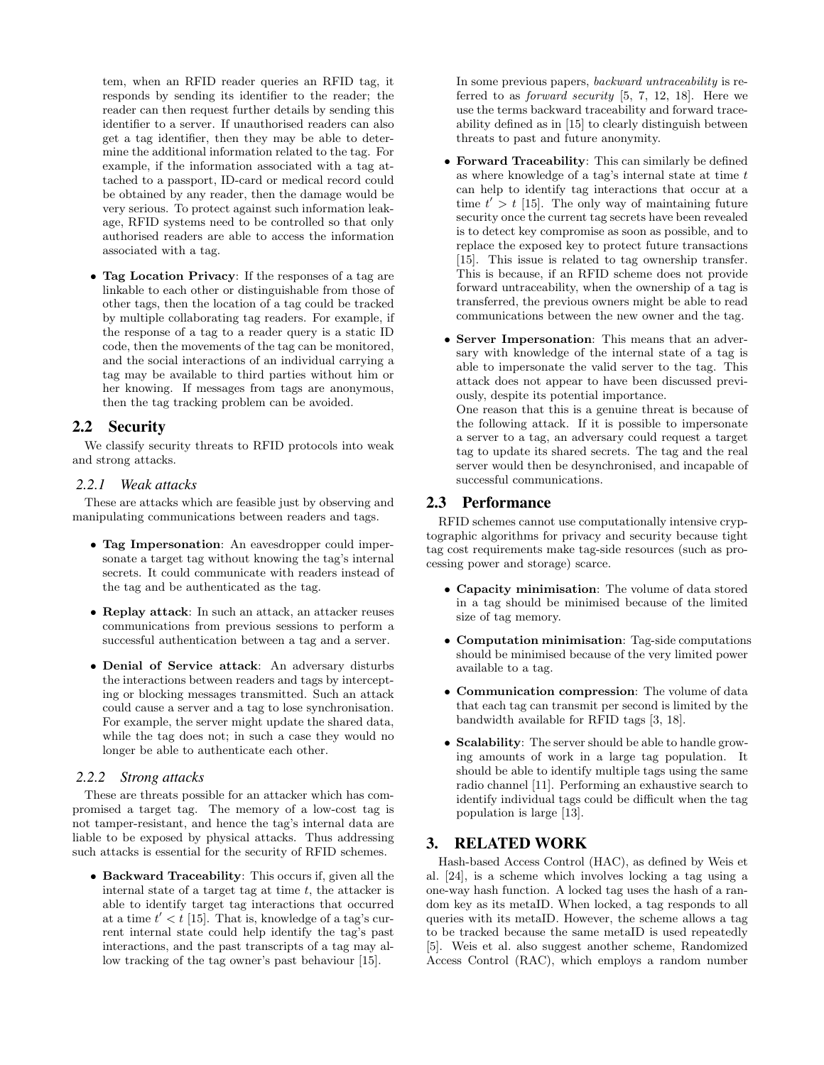tem, when an RFID reader queries an RFID tag, it responds by sending its identifier to the reader; the reader can then request further details by sending this identifier to a server. If unauthorised readers can also get a tag identifier, then they may be able to determine the additional information related to the tag. For example, if the information associated with a tag attached to a passport, ID-card or medical record could be obtained by any reader, then the damage would be very serious. To protect against such information leakage, RFID systems need to be controlled so that only authorised readers are able to access the information associated with a tag.

• Tag Location Privacy: If the responses of a tag are linkable to each other or distinguishable from those of other tags, then the location of a tag could be tracked by multiple collaborating tag readers. For example, if the response of a tag to a reader query is a static ID code, then the movements of the tag can be monitored, and the social interactions of an individual carrying a tag may be available to third parties without him or her knowing. If messages from tags are anonymous, then the tag tracking problem can be avoided.

# 2.2 Security

We classify security threats to RFID protocols into weak and strong attacks.

### *2.2.1 Weak attacks*

These are attacks which are feasible just by observing and manipulating communications between readers and tags.

- Tag Impersonation: An eavesdropper could impersonate a target tag without knowing the tag's internal secrets. It could communicate with readers instead of the tag and be authenticated as the tag.
- Replay attack: In such an attack, an attacker reuses communications from previous sessions to perform a successful authentication between a tag and a server.
- Denial of Service attack: An adversary disturbs the interactions between readers and tags by intercepting or blocking messages transmitted. Such an attack could cause a server and a tag to lose synchronisation. For example, the server might update the shared data, while the tag does not; in such a case they would no longer be able to authenticate each other.

#### *2.2.2 Strong attacks*

These are threats possible for an attacker which has compromised a target tag. The memory of a low-cost tag is not tamper-resistant, and hence the tag's internal data are liable to be exposed by physical attacks. Thus addressing such attacks is essential for the security of RFID schemes.

• Backward Traceability: This occurs if, given all the internal state of a target tag at time  $t$ , the attacker is able to identify target tag interactions that occurred at a time  $t' < t$  [15]. That is, knowledge of a tag's current internal state could help identify the tag's past interactions, and the past transcripts of a tag may allow tracking of the tag owner's past behaviour [15].

In some previous papers, backward untraceability is referred to as forward security [5, 7, 12, 18]. Here we use the terms backward traceability and forward traceability defined as in [15] to clearly distinguish between threats to past and future anonymity.

- Forward Traceability: This can similarly be defined as where knowledge of a tag's internal state at time  $t$ can help to identify tag interactions that occur at a time  $t' > t$  [15]. The only way of maintaining future security once the current tag secrets have been revealed is to detect key compromise as soon as possible, and to replace the exposed key to protect future transactions [15]. This issue is related to tag ownership transfer. This is because, if an RFID scheme does not provide forward untraceability, when the ownership of a tag is transferred, the previous owners might be able to read communications between the new owner and the tag.
- Server Impersonation: This means that an adversary with knowledge of the internal state of a tag is able to impersonate the valid server to the tag. This attack does not appear to have been discussed previously, despite its potential importance.

One reason that this is a genuine threat is because of the following attack. If it is possible to impersonate a server to a tag, an adversary could request a target tag to update its shared secrets. The tag and the real server would then be desynchronised, and incapable of successful communications.

# 2.3 Performance

RFID schemes cannot use computationally intensive cryptographic algorithms for privacy and security because tight tag cost requirements make tag-side resources (such as processing power and storage) scarce.

- Capacity minimisation: The volume of data stored in a tag should be minimised because of the limited size of tag memory.
- Computation minimisation: Tag-side computations should be minimised because of the very limited power available to a tag.
- Communication compression: The volume of data that each tag can transmit per second is limited by the bandwidth available for RFID tags [3, 18].
- **Scalability:** The server should be able to handle growing amounts of work in a large tag population. It should be able to identify multiple tags using the same radio channel [11]. Performing an exhaustive search to identify individual tags could be difficult when the tag population is large [13].

# 3. RELATED WORK

Hash-based Access Control (HAC), as defined by Weis et al. [24], is a scheme which involves locking a tag using a one-way hash function. A locked tag uses the hash of a random key as its metaID. When locked, a tag responds to all queries with its metaID. However, the scheme allows a tag to be tracked because the same metaID is used repeatedly [5]. Weis et al. also suggest another scheme, Randomized Access Control (RAC), which employs a random number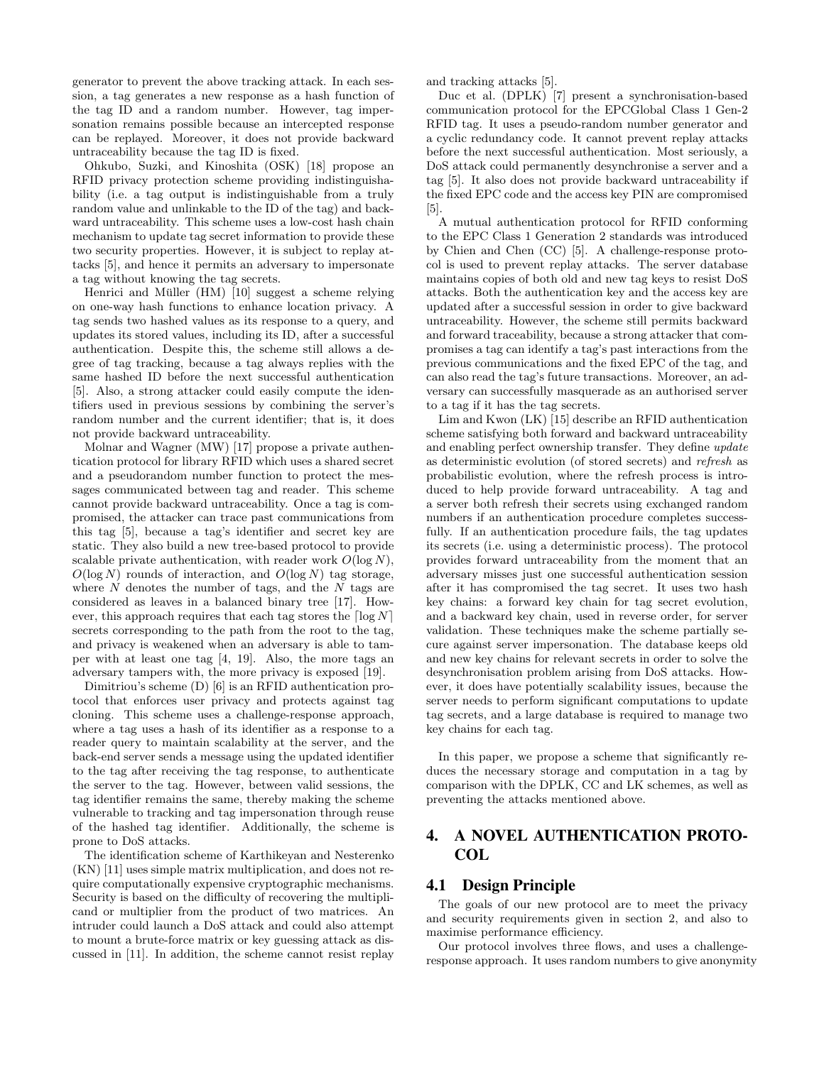generator to prevent the above tracking attack. In each session, a tag generates a new response as a hash function of the tag ID and a random number. However, tag impersonation remains possible because an intercepted response can be replayed. Moreover, it does not provide backward untraceability because the tag ID is fixed.

Ohkubo, Suzki, and Kinoshita (OSK) [18] propose an RFID privacy protection scheme providing indistinguishability (i.e. a tag output is indistinguishable from a truly random value and unlinkable to the ID of the tag) and backward untraceability. This scheme uses a low-cost hash chain mechanism to update tag secret information to provide these two security properties. However, it is subject to replay attacks [5], and hence it permits an adversary to impersonate a tag without knowing the tag secrets.

Henrici and Müller  $(HM)$  [10] suggest a scheme relying on one-way hash functions to enhance location privacy. A tag sends two hashed values as its response to a query, and updates its stored values, including its ID, after a successful authentication. Despite this, the scheme still allows a degree of tag tracking, because a tag always replies with the same hashed ID before the next successful authentication [5]. Also, a strong attacker could easily compute the identifiers used in previous sessions by combining the server's random number and the current identifier; that is, it does not provide backward untraceability.

Molnar and Wagner (MW) [17] propose a private authentication protocol for library RFID which uses a shared secret and a pseudorandom number function to protect the messages communicated between tag and reader. This scheme cannot provide backward untraceability. Once a tag is compromised, the attacker can trace past communications from this tag [5], because a tag's identifier and secret key are static. They also build a new tree-based protocol to provide scalable private authentication, with reader work  $O(\log N)$ ,  $O(\log N)$  rounds of interaction, and  $O(\log N)$  tag storage, where  $N$  denotes the number of tags, and the  $N$  tags are considered as leaves in a balanced binary tree [17]. However, this approach requires that each tag stores the  $\lceil \log N \rceil$ secrets corresponding to the path from the root to the tag, and privacy is weakened when an adversary is able to tamper with at least one tag [4, 19]. Also, the more tags an adversary tampers with, the more privacy is exposed [19].

Dimitriou's scheme (D) [6] is an RFID authentication protocol that enforces user privacy and protects against tag cloning. This scheme uses a challenge-response approach, where a tag uses a hash of its identifier as a response to a reader query to maintain scalability at the server, and the back-end server sends a message using the updated identifier to the tag after receiving the tag response, to authenticate the server to the tag. However, between valid sessions, the tag identifier remains the same, thereby making the scheme vulnerable to tracking and tag impersonation through reuse of the hashed tag identifier. Additionally, the scheme is prone to DoS attacks.

The identification scheme of Karthikeyan and Nesterenko (KN) [11] uses simple matrix multiplication, and does not require computationally expensive cryptographic mechanisms. Security is based on the difficulty of recovering the multiplicand or multiplier from the product of two matrices. An intruder could launch a DoS attack and could also attempt to mount a brute-force matrix or key guessing attack as discussed in [11]. In addition, the scheme cannot resist replay and tracking attacks [5].

Duc et al. (DPLK) [7] present a synchronisation-based communication protocol for the EPCGlobal Class 1 Gen-2 RFID tag. It uses a pseudo-random number generator and a cyclic redundancy code. It cannot prevent replay attacks before the next successful authentication. Most seriously, a DoS attack could permanently desynchronise a server and a tag [5]. It also does not provide backward untraceability if the fixed EPC code and the access key PIN are compromised  $\vert 5 \vert$ .

A mutual authentication protocol for RFID conforming to the EPC Class 1 Generation 2 standards was introduced by Chien and Chen (CC) [5]. A challenge-response protocol is used to prevent replay attacks. The server database maintains copies of both old and new tag keys to resist DoS attacks. Both the authentication key and the access key are updated after a successful session in order to give backward untraceability. However, the scheme still permits backward and forward traceability, because a strong attacker that compromises a tag can identify a tag's past interactions from the previous communications and the fixed EPC of the tag, and can also read the tag's future transactions. Moreover, an adversary can successfully masquerade as an authorised server to a tag if it has the tag secrets.

Lim and Kwon (LK) [15] describe an RFID authentication scheme satisfying both forward and backward untraceability and enabling perfect ownership transfer. They define update as deterministic evolution (of stored secrets) and refresh as probabilistic evolution, where the refresh process is introduced to help provide forward untraceability. A tag and a server both refresh their secrets using exchanged random numbers if an authentication procedure completes successfully. If an authentication procedure fails, the tag updates its secrets (i.e. using a deterministic process). The protocol provides forward untraceability from the moment that an adversary misses just one successful authentication session after it has compromised the tag secret. It uses two hash key chains: a forward key chain for tag secret evolution, and a backward key chain, used in reverse order, for server validation. These techniques make the scheme partially secure against server impersonation. The database keeps old and new key chains for relevant secrets in order to solve the desynchronisation problem arising from DoS attacks. However, it does have potentially scalability issues, because the server needs to perform significant computations to update tag secrets, and a large database is required to manage two key chains for each tag.

In this paper, we propose a scheme that significantly reduces the necessary storage and computation in a tag by comparison with the DPLK, CC and LK schemes, as well as preventing the attacks mentioned above.

# 4. A NOVEL AUTHENTICATION PROTO-COL

## 4.1 Design Principle

The goals of our new protocol are to meet the privacy and security requirements given in section 2, and also to maximise performance efficiency.

Our protocol involves three flows, and uses a challengeresponse approach. It uses random numbers to give anonymity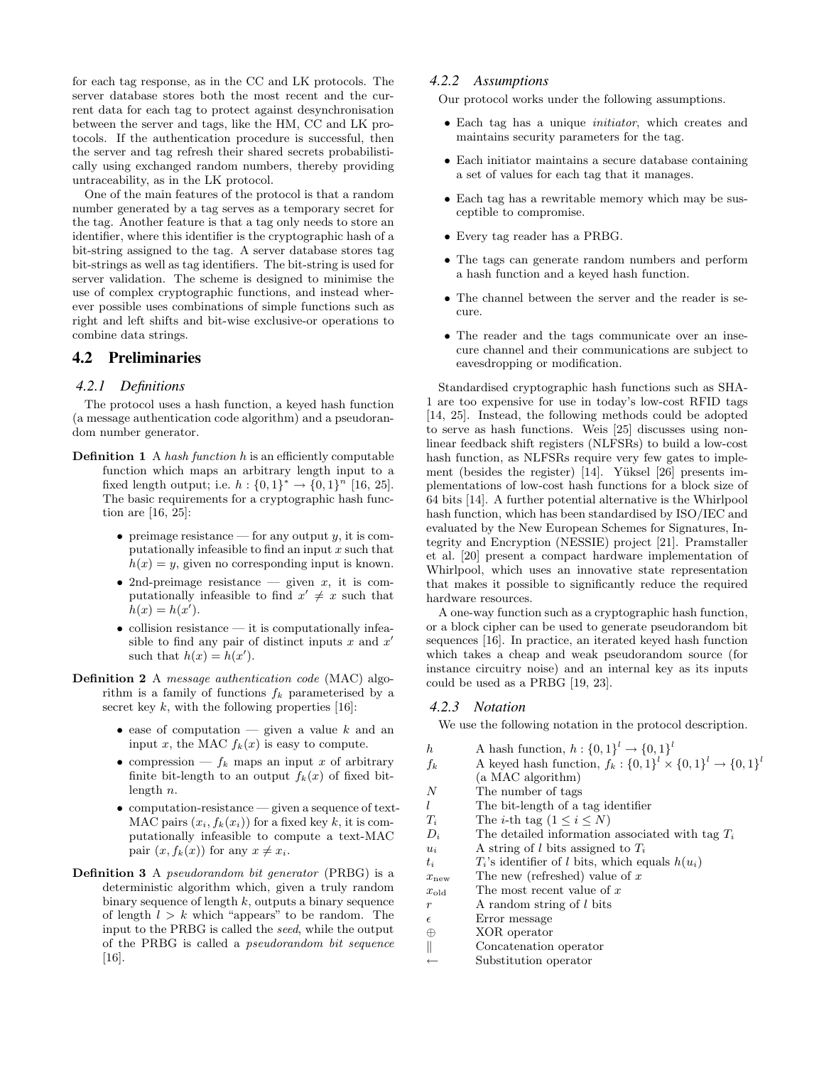for each tag response, as in the CC and LK protocols. The server database stores both the most recent and the current data for each tag to protect against desynchronisation between the server and tags, like the HM, CC and LK protocols. If the authentication procedure is successful, then the server and tag refresh their shared secrets probabilistically using exchanged random numbers, thereby providing untraceability, as in the LK protocol.

One of the main features of the protocol is that a random number generated by a tag serves as a temporary secret for the tag. Another feature is that a tag only needs to store an identifier, where this identifier is the cryptographic hash of a bit-string assigned to the tag. A server database stores tag bit-strings as well as tag identifiers. The bit-string is used for server validation. The scheme is designed to minimise the use of complex cryptographic functions, and instead wherever possible uses combinations of simple functions such as right and left shifts and bit-wise exclusive-or operations to combine data strings.

## 4.2 Preliminaries

#### *4.2.1 Definitions*

The protocol uses a hash function, a keyed hash function (a message authentication code algorithm) and a pseudorandom number generator.

- **Definition 1** A hash function  $h$  is an efficiently computable function which maps an arbitrary length input to a fixed length output; i.e.  $h: \{0,1\}^* \to \{0,1\}^n$  [16, 25]. The basic requirements for a cryptographic hash function are [16, 25]:
	- preimage resistance for any output  $y$ , it is computationally infeasible to find an input  $x$  such that  $h(x) = y$ , given no corresponding input is known.
	- 2nd-preimage resistance given x, it is computationally infeasible to find  $x' \neq x$  such that  $\bar{h}(x) = h(x')$ .
	- $\bullet$  collision resistance it is computationally infeasible to find any pair of distinct inputs  $x$  and  $x'$ such that  $h(x) = h(x')$ .
- Definition 2 A message authentication code (MAC) algorithm is a family of functions  $f_k$  parameterised by a secret key  $k$ , with the following properties [16]:
	- ease of computation given a value  $k$  and an input x, the MAC  $f_k(x)$  is easy to compute.
	- compression  $f_k$  maps an input x of arbitrary finite bit-length to an output  $f_k(x)$  of fixed bitlength n.
	- computation-resistance given a sequence of text-MAC pairs  $(x_i, f_k(x_i))$  for a fixed key k, it is computationally infeasible to compute a text-MAC pair  $(x, f_k(x))$  for any  $x \neq x_i$ .
- Definition 3 A pseudorandom bit generator (PRBG) is a deterministic algorithm which, given a truly random binary sequence of length  $k$ , outputs a binary sequence of length  $l > k$  which "appears" to be random. The input to the PRBG is called the seed, while the output of the PRBG is called a pseudorandom bit sequence [16].

#### *4.2.2 Assumptions*

Our protocol works under the following assumptions.

- Each tag has a unique initiator, which creates and maintains security parameters for the tag.
- Each initiator maintains a secure database containing a set of values for each tag that it manages.
- Each tag has a rewritable memory which may be susceptible to compromise.
- Every tag reader has a PRBG.
- The tags can generate random numbers and perform a hash function and a keyed hash function.
- The channel between the server and the reader is secure.
- The reader and the tags communicate over an insecure channel and their communications are subject to eavesdropping or modification.

Standardised cryptographic hash functions such as SHA-1 are too expensive for use in today's low-cost RFID tags [14, 25]. Instead, the following methods could be adopted to serve as hash functions. Weis [25] discusses using nonlinear feedback shift registers (NLFSRs) to build a low-cost hash function, as NLFSRs require very few gates to implement (besides the register)  $[14]$ . Yüksel  $[26]$  presents implementations of low-cost hash functions for a block size of 64 bits [14]. A further potential alternative is the Whirlpool hash function, which has been standardised by ISO/IEC and evaluated by the New European Schemes for Signatures, Integrity and Encryption (NESSIE) project [21]. Pramstaller et al. [20] present a compact hardware implementation of Whirlpool, which uses an innovative state representation that makes it possible to significantly reduce the required hardware resources.

A one-way function such as a cryptographic hash function, or a block cipher can be used to generate pseudorandom bit sequences [16]. In practice, an iterated keyed hash function which takes a cheap and weak pseudorandom source (for instance circuitry noise) and an internal key as its inputs could be used as a PRBG [19, 23].

# *4.2.3 Notation*

We use the following notation in the protocol description.

h A hash function,  $h: \{0,1\}^l \rightarrow \{0,1\}^l$  $f_k$  A keyed hash function,  $f_k: \{0,1\}^l \times \{0,1\}^l \rightarrow \{0,1\}^l$ (a MAC algorithm) N The number of tags  $l$  The bit-length of a tag identifier  $T_i$  The *i*-th tag  $(1 \leq i \leq N)$  $D_i$  The detailed information associated with tag  $T_i$  $u_i$  A string of l bits assigned to  $T_i$  $t_i$  T<sub>i</sub>'s identifier of l bits, which equals  $h(u_i)$  $x_{\text{new}}$  The new (refreshed) value of x  $x_{old}$  The most recent value of x  $r$  A random string of l bits  $\epsilon$  Error message ⊕ XOR operator || Concatenation operator ← Substitution operator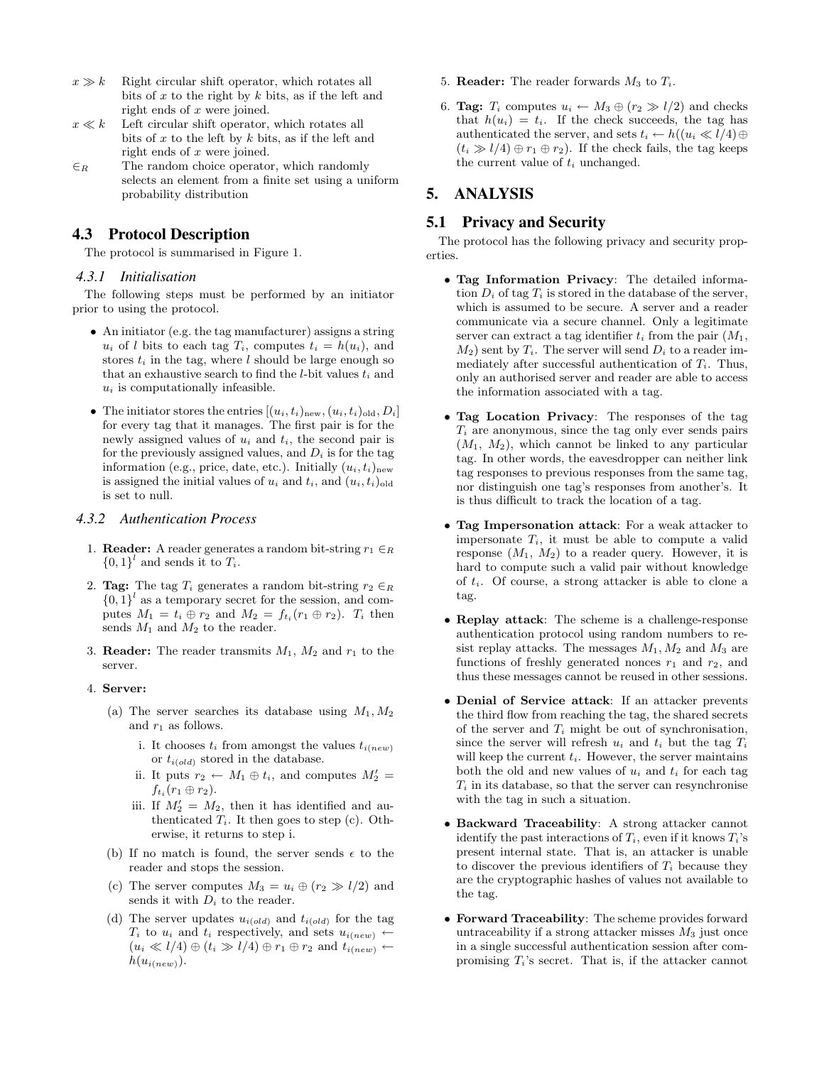- $x \gg k$  Right circular shift operator, which rotates all bits of  $x$  to the right by  $k$  bits, as if the left and right ends of x were joined.
- $x \ll k$  Left circular shift operator, which rotates all bits of  $x$  to the left by  $k$  bits, as if the left and right ends of x were joined.
- $\epsilon_R$  The random choice operator, which randomly selects an element from a finite set using a uniform probability distribution

# 4.3 Protocol Description

The protocol is summarised in Figure 1.

### *4.3.1 Initialisation*

The following steps must be performed by an initiator prior to using the protocol.

- An initiator (e.g. the tag manufacturer) assigns a string  $u_i$  of l bits to each tag  $T_i$ , computes  $t_i = h(u_i)$ , and stores  $t_i$  in the tag, where l should be large enough so that an exhaustive search to find the  $l$ -bit values  $t_i$  and  $u_i$  is computationally infeasible.
- The initiator stores the entries  $[(u_i, t_i)_{\text{new}}, (u_i, t_i)_{\text{old}}, D_i]$ for every tag that it manages. The first pair is for the newly assigned values of  $u_i$  and  $t_i$ , the second pair is for the previously assigned values, and  $D_i$  is for the tag information (e.g., price, date, etc.). Initially  $(u_i, t_i)_{\text{new}}$ is assigned the initial values of  $u_i$  and  $t_i$ , and  $(u_i, t_i)$ <sub>old</sub> is set to null.

## *4.3.2 Authentication Process*

- 1. **Reader:** A reader generates a random bit-string  $r_1 \in_R$  ${0,1}^l$  and sends it to  $T_i$ .
- 2. **Tag:** The tag  $T_i$  generates a random bit-string  $r_2 \in_R$  ${0,1}^l$  as a temporary secret for the session, and computes  $M_1 = t_i \oplus r_2$  and  $M_2 = f_{t_i}(r_1 \oplus r_2)$ .  $T_i$  then sends  $M_1$  and  $M_2$  to the reader.
- 3. **Reader:** The reader transmits  $M_1$ ,  $M_2$  and  $r_1$  to the server.
- 4. Server:
	- (a) The server searches its database using  $M_1, M_2$ and  $r_1$  as follows.
		- i. It chooses  $t_i$  from amongst the values  $t_{i(new)}$ or  $t_{i(\mathit{old})}$  stored in the database.
		- ii. It puts  $r_2 \leftarrow M_1 \oplus t_i$ , and computes  $M'_2 =$  $f_{t_i}(r_1 \oplus r_2)$ .
		- iii. If  $M'_2 = M_2$ , then it has identified and authenticated  $T_i$ . It then goes to step (c). Otherwise, it returns to step i.
	- (b) If no match is found, the server sends  $\epsilon$  to the reader and stops the session.
	- (c) The server computes  $M_3 = u_i \oplus (r_2 \gg l/2)$  and sends it with  $D_i$  to the reader.
	- (d) The server updates  $u_{i(old)}$  and  $t_{i(old)}$  for the tag  $T_i$  to  $u_i$  and  $t_i$  respectively, and sets  $u_{i(new)} \leftarrow$  $(u_i \ll l/4) \oplus (t_i \gg l/4) \oplus r_1 \oplus r_2$  and  $t_{i(new)} \leftarrow$  $h(u_{i(new)})$ .
- 5. **Reader:** The reader forwards  $M_3$  to  $T_i$ .
- 6. **Tag:**  $T_i$  computes  $u_i \leftarrow M_3 \oplus (r_2 \gg l/2)$  and checks that  $h(u_i) = t_i$ . If the check succeeds, the tag has authenticated the server, and sets  $t_i \leftarrow h((u_i \ll l/4) \oplus$  $(t_i \gg l/4) \oplus r_1 \oplus r_2$ . If the check fails, the tag keeps the current value of  $t_i$  unchanged.

# 5. ANALYSIS

## 5.1 Privacy and Security

The protocol has the following privacy and security properties.

- Tag Information Privacy: The detailed information  $D_i$  of tag  $T_i$  is stored in the database of the server, which is assumed to be secure. A server and a reader communicate via a secure channel. Only a legitimate server can extract a tag identifier  $t_i$  from the pair  $(M_1,$  $M_2$ ) sent by  $T_i$ . The server will send  $D_i$  to a reader immediately after successful authentication of  $T_i$ . Thus, only an authorised server and reader are able to access the information associated with a tag.
- Tag Location Privacy: The responses of the tag  $T_i$  are anonymous, since the tag only ever sends pairs  $(M_1, M_2)$ , which cannot be linked to any particular tag. In other words, the eavesdropper can neither link tag responses to previous responses from the same tag, nor distinguish one tag's responses from another's. It is thus difficult to track the location of a tag.
- Tag Impersonation attack: For a weak attacker to impersonate  $T_i$ , it must be able to compute a valid response  $(M_1, M_2)$  to a reader query. However, it is hard to compute such a valid pair without knowledge of  $t_i$ . Of course, a strong attacker is able to clone a tag.
- Replay attack: The scheme is a challenge-response authentication protocol using random numbers to resist replay attacks. The messages  $M_1, M_2$  and  $M_3$  are functions of freshly generated nonces  $r_1$  and  $r_2$ , and thus these messages cannot be reused in other sessions.
- Denial of Service attack: If an attacker prevents the third flow from reaching the tag, the shared secrets of the server and  $T_i$  might be out of synchronisation, since the server will refresh  $u_i$  and  $t_i$  but the tag  $T_i$ will keep the current  $t_i$ . However, the server maintains both the old and new values of  $u_i$  and  $t_i$  for each tag  $T_i$  in its database, so that the server can resynchronise with the tag in such a situation.
- Backward Traceability: A strong attacker cannot identify the past interactions of  $T_i$ , even if it knows  $T_i$ 's present internal state. That is, an attacker is unable to discover the previous identifiers of  $T_i$  because they are the cryptographic hashes of values not available to the tag.
- Forward Traceability: The scheme provides forward untraceability if a strong attacker misses  $M_3$  just once in a single successful authentication session after compromising  $T_i$ 's secret. That is, if the attacker cannot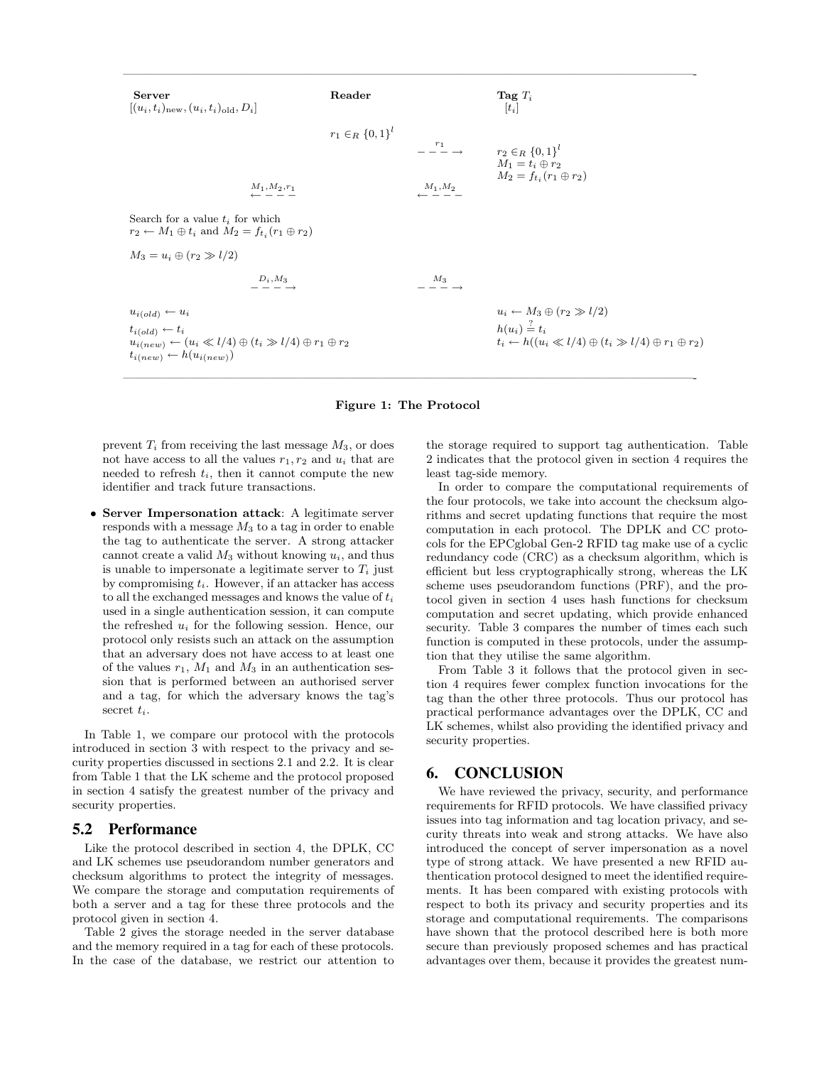| Server<br>$[(u_i,t_i)_{\text{new}},(u_i,t_i)_{\text{old}},D_i]$                                                                                                                         | Reader                |                                                   | Tag $T_i$<br>$[t_i]$                                                                                                                                      |
|-----------------------------------------------------------------------------------------------------------------------------------------------------------------------------------------|-----------------------|---------------------------------------------------|-----------------------------------------------------------------------------------------------------------------------------------------------------------|
| $M_1, M_2, r_1$                                                                                                                                                                         | $r_1 \in_R \{0,1\}^l$ | . $\stackrel{r_1}{\dashrightarrow}$<br>$M_1, M_2$ | $r_2 \in R \{0,1\}^l$<br>$M_1 = t_i \oplus r_2$<br>$M_2 = f_{t_i}(r_1 \oplus r_2)$                                                                        |
| Search for a value $t_i$ for which<br>$r_2 \leftarrow M_1 \oplus t_i$ and $M_2 = f_{t_i}(r_1 \oplus r_2)$                                                                               |                       |                                                   |                                                                                                                                                           |
| $M_3 = u_i \oplus (r_2 \gg l/2)$                                                                                                                                                        |                       |                                                   |                                                                                                                                                           |
| $D_i, M_3$<br>$\longrightarrow$                                                                                                                                                         |                       | $M_3$                                             |                                                                                                                                                           |
| $u_{i(old)} \leftarrow u_i$<br>$t_{i(old)} \leftarrow t_i$<br>$u_{i(new)} \leftarrow (u_i \ll l/4) \oplus (t_i \gg l/4) \oplus r_1 \oplus r_2$<br>$t_{i(new)} \leftarrow h(u_{i(new)})$ |                       |                                                   | $u_i \leftarrow M_3 \oplus (r_2 \gg l/2)$<br>$h(u_i) \stackrel{?}{=} t_i$<br>$t_i \leftarrow h((u_i \ll l/4) \oplus (t_i \gg l/4) \oplus r_1 \oplus r_2)$ |

 $\mathcal{L}=\{1,2,3,4\}$  , we can consider the constant of the constant  $\mathcal{L}=\{1,2,3,4\}$ 

#### Figure 1: The Protocol

prevent  $T_i$  from receiving the last message  $M_3$ , or does not have access to all the values  $r_1, r_2$  and  $u_i$  that are needed to refresh  $t_i$ , then it cannot compute the new identifier and track future transactions.

• Server Impersonation attack: A legitimate server responds with a message  $M_3$  to a tag in order to enable the tag to authenticate the server. A strong attacker cannot create a valid  $M_3$  without knowing  $u_i$ , and thus is unable to impersonate a legitimate server to  $T_i$  just by compromising  $t_i$ . However, if an attacker has access to all the exchanged messages and knows the value of  $t_i$ used in a single authentication session, it can compute the refreshed  $u_i$  for the following session. Hence, our protocol only resists such an attack on the assumption that an adversary does not have access to at least one of the values  $r_1$ ,  $M_1$  and  $M_3$  in an authentication session that is performed between an authorised server and a tag, for which the adversary knows the tag's secret  $t_i$ .

In Table 1, we compare our protocol with the protocols introduced in section 3 with respect to the privacy and security properties discussed in sections 2.1 and 2.2. It is clear from Table 1 that the LK scheme and the protocol proposed in section 4 satisfy the greatest number of the privacy and security properties.

#### 5.2 Performance

Like the protocol described in section 4, the DPLK, CC and LK schemes use pseudorandom number generators and checksum algorithms to protect the integrity of messages. We compare the storage and computation requirements of both a server and a tag for these three protocols and the protocol given in section 4.

Table 2 gives the storage needed in the server database and the memory required in a tag for each of these protocols. In the case of the database, we restrict our attention to the storage required to support tag authentication. Table 2 indicates that the protocol given in section 4 requires the least tag-side memory.

In order to compare the computational requirements of the four protocols, we take into account the checksum algorithms and secret updating functions that require the most computation in each protocol. The DPLK and CC protocols for the EPCglobal Gen-2 RFID tag make use of a cyclic redundancy code (CRC) as a checksum algorithm, which is efficient but less cryptographically strong, whereas the LK scheme uses pseudorandom functions (PRF), and the protocol given in section 4 uses hash functions for checksum computation and secret updating, which provide enhanced security. Table 3 compares the number of times each such function is computed in these protocols, under the assumption that they utilise the same algorithm.

From Table 3 it follows that the protocol given in section 4 requires fewer complex function invocations for the tag than the other three protocols. Thus our protocol has practical performance advantages over the DPLK, CC and LK schemes, whilst also providing the identified privacy and security properties.

# 6. CONCLUSION

We have reviewed the privacy, security, and performance requirements for RFID protocols. We have classified privacy issues into tag information and tag location privacy, and security threats into weak and strong attacks. We have also introduced the concept of server impersonation as a novel type of strong attack. We have presented a new RFID authentication protocol designed to meet the identified requirements. It has been compared with existing protocols with respect to both its privacy and security properties and its storage and computational requirements. The comparisons have shown that the protocol described here is both more secure than previously proposed schemes and has practical advantages over them, because it provides the greatest num-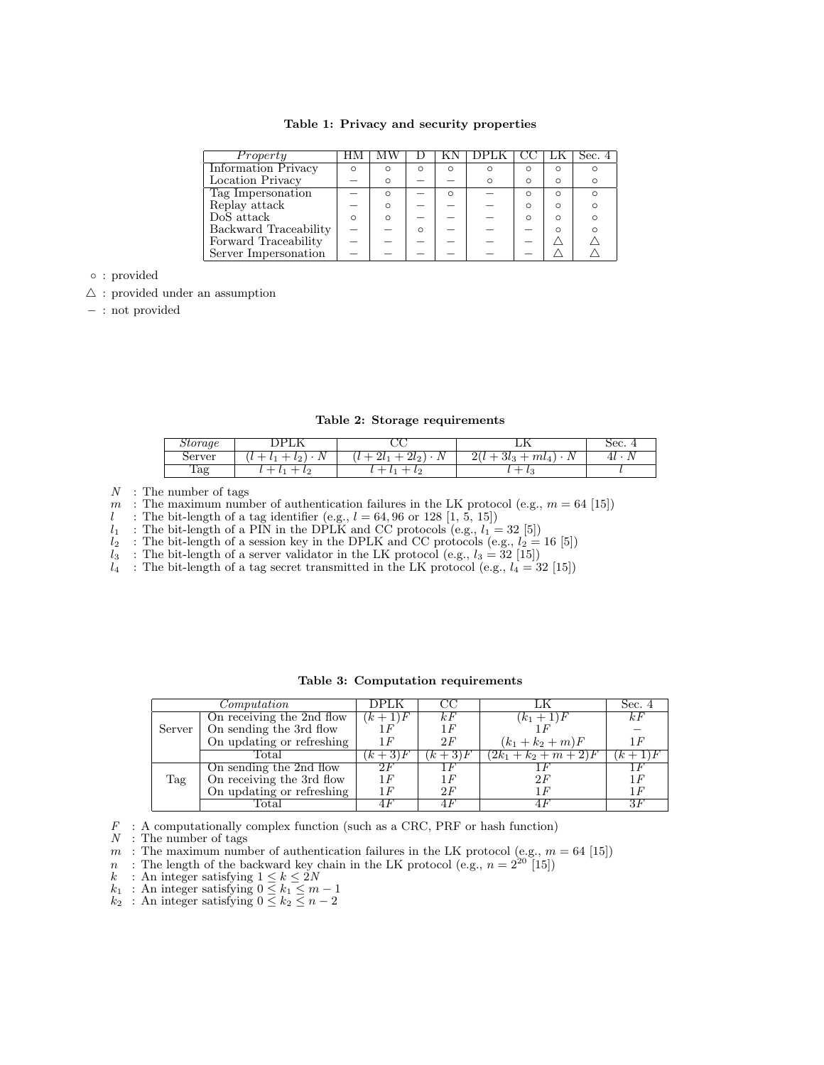Table 1: Privacy and security properties

| Property                   |        | IVI VV |   |         |   | ЪK | Sec. 4 |
|----------------------------|--------|--------|---|---------|---|----|--------|
| <b>Information Privacy</b> |        | ∩      | ∩ |         | ∩ | ∩  |        |
| Location Privacy           |        |        |   |         |   |    |        |
| Tag Impersonation          |        |        |   | $\circ$ |   |    |        |
| Replay attack              |        |        |   |         |   |    |        |
| DoS attack                 | $\cap$ |        |   |         |   |    |        |
| Backward Traceability      |        |        |   |         |   |    |        |
| Forward Traceability       |        |        |   |         |   |    |        |
| Server Impersonation       |        |        |   |         |   |    |        |
|                            |        |        |   |         |   |    |        |

◦ : provided

 $\triangle$ : provided under an assumption

− : not provided

|  | Table 2: Storage requirements |
|--|-------------------------------|
|  |                               |

| $\mathcal{S} \mathcal{t}$ <i>orage</i> | ◡                                     | ◡                                           |                                             | Sec. |
|----------------------------------------|---------------------------------------|---------------------------------------------|---------------------------------------------|------|
| berver                                 | v<br>t?<br>--<br>. .<br>∸<br><b>.</b> | w<br>--<br>$2\ell_2$<br>$40^{\circ}$<br>. . | Л<br>$ml_4$<br>აივ<br>410<br>$\overline{1}$ | 4l   |
| lag                                    | --<br>$\iota_2$                       | $\iota_2$<br>-<br>--                        | $\mathbf{u}$ , 5                            |      |

 $N$ : The number of tags

- m : The maximum number of authentication failures in the LK protocol (e.g.,  $m = 64$  [15])
- l : The bit-length of a tag identifier (e.g.,  $l = 64,96$  or 128 [1, 5, 15])
- $l_1$ : The bit-length of a PIN in the DPLK and CC protocols (e.g.,  $l_1 = 32$  [5])
- $l_2$ : The bit-length of a session key in the DPLK and CC protocols (e.g.,  $l_2 = 16$  [5])
- $l_3$  : The bit-length of a server validator in the LK protocol (e.g.,  $l_3 = 32$  [15])<br>  $l_4$  : The bit-length of a tag secret transmitted in the LK protocol (e.g.,  $l_4 = 3$
- : The bit-length of a tag secret transmitted in the LK protocol (e.g.,  $l_4 = 32$  [15])

| Computation |                           |          |          |                         | Sec. 4 |
|-------------|---------------------------|----------|----------|-------------------------|--------|
|             | On receiving the 2nd flow | $(k+1)F$ | kF       | $(k_1 + 1)F$            | kF     |
| Server      | On sending the 3rd flow   | 1 F      | 1 F      |                         |        |
|             | On updating or refreshing | 1 F      | 2 F      | $(k_1 + k_2 + m)F$      | 1 F    |
|             | $_{\rm Total}$            | $(k+3)F$ | $(k+3)F$ | $(2k_1 + k_2 + m + 2)F$ | $k+1$  |
|             | On sending the 2nd flow   | 2F       |          |                         |        |
| Tag         | On receiving the 3rd flow | 1F       |          | 2 F                     | 1F     |
|             | On updating or refreshing | 1F       | 2 F      |                         | 1 F    |
|             | Total                     |          |          |                         | ЗF     |

Table 3: Computation requirements

 $F : A$  computationally complex function (such as a CRC, PRF or hash function)

 $N$  : The number of tags

- m : The maximum number of authentication failures in the LK protocol (e.g.,  $m = 64$  [15])
- n : The length of the backward key chain in the LK protocol (e.g.,  $n = 2^{20}$  [15])

k : An integer satisfying  $1 \leq k \leq 2N$ 

- $k_1$ : An integer satisfying  $0 \leq k_1 \leq m-1$
- $k_2$ : An integer satisfying  $0 \leq k_2 \leq n-2$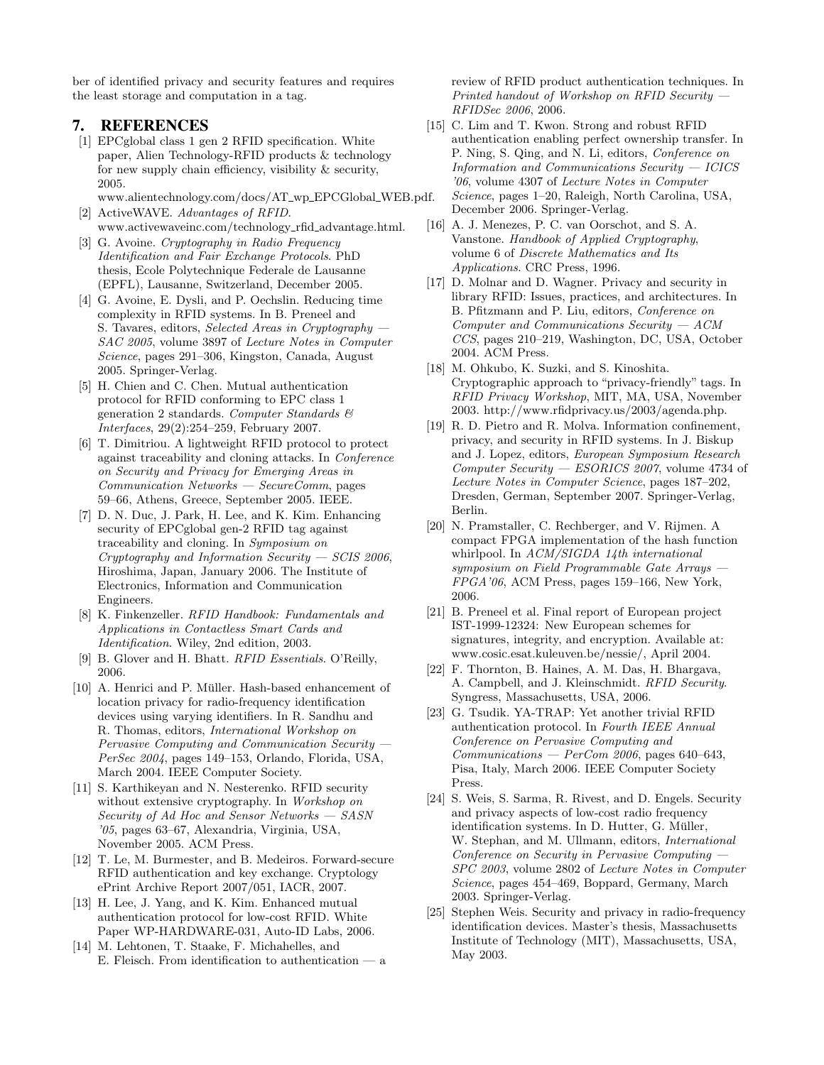ber of identified privacy and security features and requires the least storage and computation in a tag.

# 7. REFERENCES

- [1] EPCglobal class 1 gen 2 RFID specification. White paper, Alien Technology-RFID products & technology for new supply chain efficiency, visibility & security, 2005.
- www.alientechnology.com/docs/AT wp EPCGlobal WEB.pdf. [2] ActiveWAVE. Advantages of RFID.
- www.activewaveinc.com/technology rfid advantage.html. [3] G. Avoine. Cryptography in Radio Frequency
- Identification and Fair Exchange Protocols. PhD thesis, Ecole Polytechnique Federale de Lausanne (EPFL), Lausanne, Switzerland, December 2005.
- [4] G. Avoine, E. Dysli, and P. Oechslin. Reducing time complexity in RFID systems. In B. Preneel and S. Tavares, editors, Selected Areas in Cryptography SAC 2005, volume 3897 of Lecture Notes in Computer Science, pages 291–306, Kingston, Canada, August 2005. Springer-Verlag.
- [5] H. Chien and C. Chen. Mutual authentication protocol for RFID conforming to EPC class 1 generation 2 standards. Computer Standards & Interfaces, 29(2):254–259, February 2007.
- [6] T. Dimitriou. A lightweight RFID protocol to protect against traceability and cloning attacks. In Conference on Security and Privacy for Emerging Areas in Communication Networks — SecureComm, pages 59–66, Athens, Greece, September 2005. IEEE.
- [7] D. N. Duc, J. Park, H. Lee, and K. Kim. Enhancing security of EPCglobal gen-2 RFID tag against traceability and cloning. In Symposium on  $Cryptography$  and Information Security  $-$  SCIS 2006, Hiroshima, Japan, January 2006. The Institute of Electronics, Information and Communication Engineers.
- [8] K. Finkenzeller. RFID Handbook: Fundamentals and Applications in Contactless Smart Cards and Identification. Wiley, 2nd edition, 2003.
- [9] B. Glover and H. Bhatt. RFID Essentials. O'Reilly, 2006.
- [10] A. Henrici and P. Müller. Hash-based enhancement of location privacy for radio-frequency identification devices using varying identifiers. In R. Sandhu and R. Thomas, editors, International Workshop on Pervasive Computing and Communication Security — PerSec 2004, pages 149–153, Orlando, Florida, USA, March 2004. IEEE Computer Society.
- [11] S. Karthikeyan and N. Nesterenko. RFID security without extensive cryptography. In Workshop on Security of Ad Hoc and Sensor Networks — SASN '05, pages 63–67, Alexandria, Virginia, USA, November 2005. ACM Press.
- [12] T. Le, M. Burmester, and B. Medeiros. Forward-secure RFID authentication and key exchange. Cryptology ePrint Archive Report 2007/051, IACR, 2007.
- [13] H. Lee, J. Yang, and K. Kim. Enhanced mutual authentication protocol for low-cost RFID. White Paper WP-HARDWARE-031, Auto-ID Labs, 2006.
- [14] M. Lehtonen, T. Staake, F. Michahelles, and E. Fleisch. From identification to authentication — a

review of RFID product authentication techniques. In Printed handout of Workshop on RFID Security – RFIDSec 2006, 2006.

- [15] C. Lim and T. Kwon. Strong and robust RFID authentication enabling perfect ownership transfer. In P. Ning, S. Qing, and N. Li, editors, Conference on Information and Communications  $Security - ICICS$ '06, volume 4307 of Lecture Notes in Computer Science, pages 1–20, Raleigh, North Carolina, USA, December 2006. Springer-Verlag.
- [16] A. J. Menezes, P. C. van Oorschot, and S. A. Vanstone. Handbook of Applied Cryptography, volume 6 of Discrete Mathematics and Its Applications. CRC Press, 1996.
- [17] D. Molnar and D. Wagner. Privacy and security in library RFID: Issues, practices, and architectures. In B. Pfitzmann and P. Liu, editors, Conference on Computer and Communications Security — ACM CCS, pages 210–219, Washington, DC, USA, October 2004. ACM Press.
- [18] M. Ohkubo, K. Suzki, and S. Kinoshita. Cryptographic approach to "privacy-friendly" tags. In RFID Privacy Workshop, MIT, MA, USA, November 2003. http://www.rfidprivacy.us/2003/agenda.php.
- [19] R. D. Pietro and R. Molva. Information confinement, privacy, and security in RFID systems. In J. Biskup and J. Lopez, editors, European Symposium Research Computer Security — ESORICS 2007, volume 4734 of Lecture Notes in Computer Science, pages 187–202, Dresden, German, September 2007. Springer-Verlag, Berlin.
- [20] N. Pramstaller, C. Rechberger, and V. Rijmen. A compact FPGA implementation of the hash function whirlpool. In  $ACM/SIGDA$  14th international symposium on Field Programmable Gate Arrays — FPGA'06, ACM Press, pages 159–166, New York, 2006.
- [21] B. Preneel et al. Final report of European project IST-1999-12324: New European schemes for signatures, integrity, and encryption. Available at: www.cosic.esat.kuleuven.be/nessie/, April 2004.
- [22] F. Thornton, B. Haines, A. M. Das, H. Bhargava, A. Campbell, and J. Kleinschmidt. RFID Security. Syngress, Massachusetts, USA, 2006.
- [23] G. Tsudik. YA-TRAP: Yet another trivial RFID authentication protocol. In Fourth IEEE Annual Conference on Pervasive Computing and  $Communications - PerCom 2006$ , pages 640-643, Pisa, Italy, March 2006. IEEE Computer Society Press.
- [24] S. Weis, S. Sarma, R. Rivest, and D. Engels. Security and privacy aspects of low-cost radio frequency identification systems. In D. Hutter, G. Müller, W. Stephan, and M. Ullmann, editors, International Conference on Security in Pervasive Computing — SPC 2003, volume 2802 of Lecture Notes in Computer Science, pages 454–469, Boppard, Germany, March 2003. Springer-Verlag.
- [25] Stephen Weis. Security and privacy in radio-frequency identification devices. Master's thesis, Massachusetts Institute of Technology (MIT), Massachusetts, USA, May 2003.